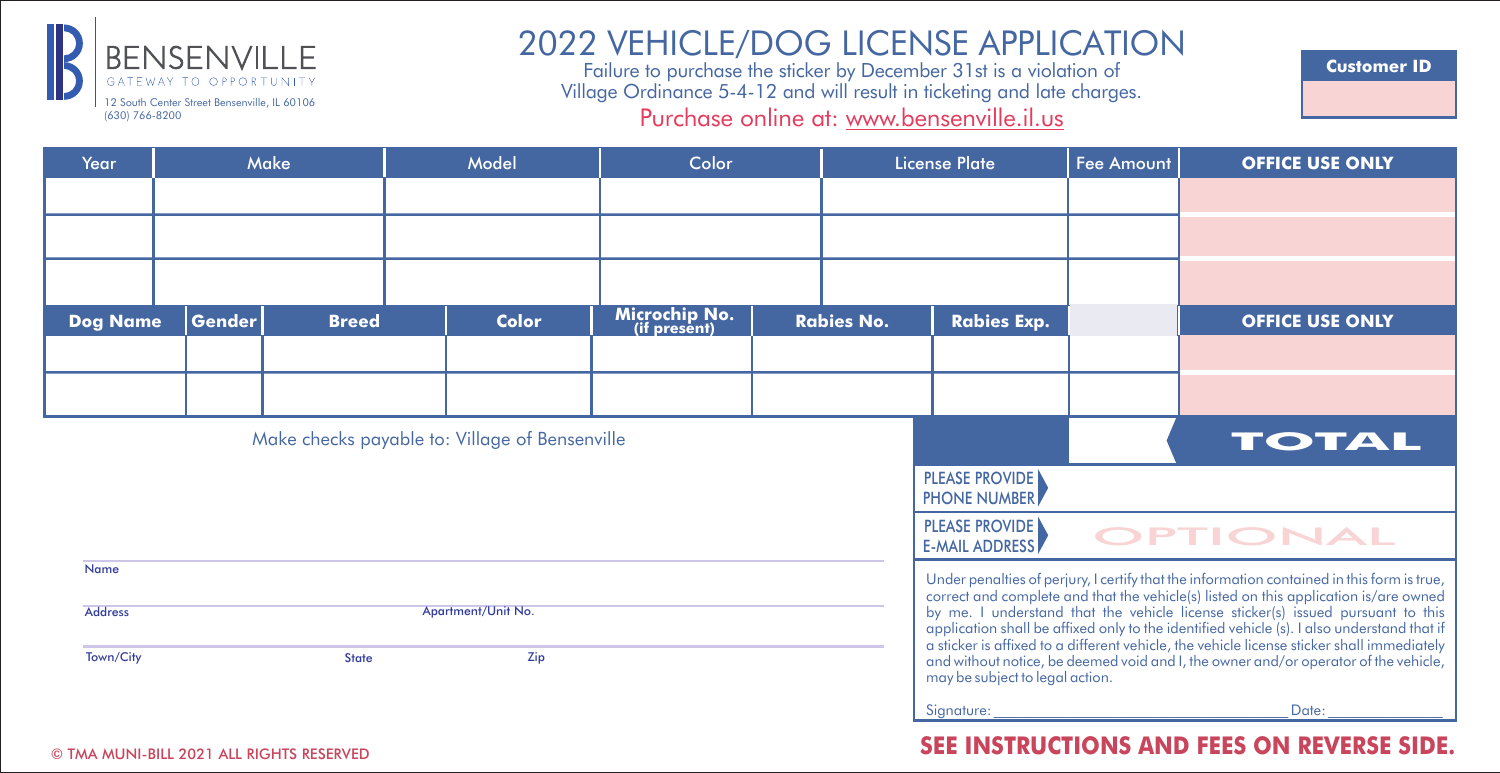

# 2022 VEHICLE/DOG LICENSE APPLICATION Failure to purchase the sticker by December 31st is a violation of

Village Ordinance 5-4-12 and will result in ticketing and late charges. Purchase online at: www.bensenville.il.us

**Customer ID**

| Year                                           | Make          |                                                 | Model |                                            | Color                                                                                                                                                                              |                                                                                                                                                                                                                                                                                                                                                                    | <b>License Plate</b> |                    | <b>Fee Amount</b>               | <b>OFFICE USE ONLY</b> |
|------------------------------------------------|---------------|-------------------------------------------------|-------|--------------------------------------------|------------------------------------------------------------------------------------------------------------------------------------------------------------------------------------|--------------------------------------------------------------------------------------------------------------------------------------------------------------------------------------------------------------------------------------------------------------------------------------------------------------------------------------------------------------------|----------------------|--------------------|---------------------------------|------------------------|
|                                                |               |                                                 |       |                                            |                                                                                                                                                                                    |                                                                                                                                                                                                                                                                                                                                                                    |                      |                    |                                 |                        |
|                                                |               |                                                 |       |                                            |                                                                                                                                                                                    |                                                                                                                                                                                                                                                                                                                                                                    |                      |                    |                                 |                        |
|                                                |               |                                                 |       |                                            |                                                                                                                                                                                    |                                                                                                                                                                                                                                                                                                                                                                    |                      |                    |                                 |                        |
| <b>Dog Name</b>                                | <b>Gender</b> | <b>Breed</b>                                    |       | <b>Color</b>                               | Microchip No.<br>(if present)                                                                                                                                                      |                                                                                                                                                                                                                                                                                                                                                                    | <b>Rabies No.</b>    | <b>Rabies Exp.</b> |                                 | <b>OFFICE USE ONLY</b> |
|                                                |               |                                                 |       |                                            |                                                                                                                                                                                    |                                                                                                                                                                                                                                                                                                                                                                    |                      |                    |                                 |                        |
|                                                |               |                                                 |       |                                            |                                                                                                                                                                                    |                                                                                                                                                                                                                                                                                                                                                                    |                      |                    |                                 |                        |
| Make checks payable to: Village of Bensenville |               |                                                 |       |                                            |                                                                                                                                                                                    |                                                                                                                                                                                                                                                                                                                                                                    |                      |                    |                                 | <b>TOTAL</b>           |
|                                                |               |                                                 |       |                                            |                                                                                                                                                                                    |                                                                                                                                                                                                                                                                                                                                                                    |                      |                    |                                 |                        |
|                                                |               |                                                 |       |                                            |                                                                                                                                                                                    | <b>PLEASE PROVIDE</b><br><b>E-MAIL ADDRESS</b>                                                                                                                                                                                                                                                                                                                     | <b>OPTIONAL</b>      |                    |                                 |                        |
| Name                                           |               |                                                 |       |                                            | Under penalties of perjury, I certify that the information contained in this form is true,<br>correct and complete and that the vehicle(s) listed on this application is/are owned |                                                                                                                                                                                                                                                                                                                                                                    |                      |                    |                                 |                        |
| <b>Address</b><br>Town/City                    |               | <b>State</b>                                    |       | Apartment/Unit No.<br>Zip                  |                                                                                                                                                                                    | by me. I understand that the vehicle license sticker(s) issued pursuant to this<br>application shall be affixed only to the identified vehicle (s). I also understand that if<br>a sticker is affixed to a different vehicle, the vehicle license sticker shall immediately<br>and without notice, be deemed void and I, the owner and/or operator of the vehicle, |                      |                    |                                 |                        |
|                                                |               |                                                 |       |                                            |                                                                                                                                                                                    |                                                                                                                                                                                                                                                                                                                                                                    |                      |                    | may be subject to legal action. |                        |
|                                                |               |                                                 |       |                                            |                                                                                                                                                                                    |                                                                                                                                                                                                                                                                                                                                                                    |                      | Signature:         |                                 | Date:                  |
|                                                |               | <b>@ THA MUNILDUL 2021 ALL BICLITE BEEFBUED</b> |       | SEE INSTRUCTIONS AND FEES ON REVERSE SIDE. |                                                                                                                                                                                    |                                                                                                                                                                                                                                                                                                                                                                    |                      |                    |                                 |                        |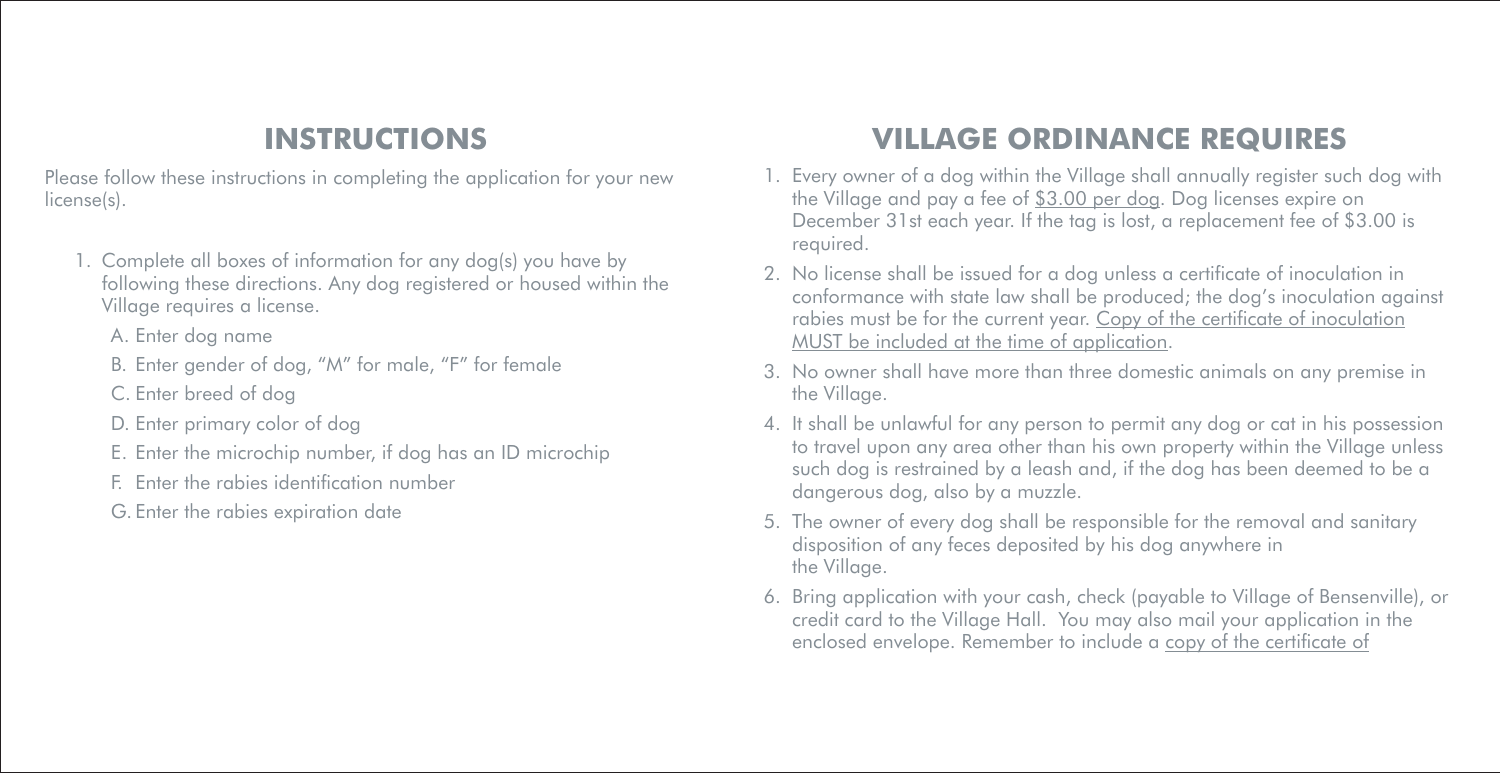### **INSTRUCTIONS**

Please follow these instructions in completing the application for your new license(s).

- 1. Complete all boxes of information for any dog(s) you have by following these directions. Any dog registered or housed within the Village requires a license.
	- A. Enter dog name
	- B. Enter gender of dog, "M" for male, "F" for female
	- C. Enter breed of dog
	- D. Enter primary color of dog
	- E. Enter the microchip number, if dog has an ID microchip
	- F. Enter the rabies identification number

G. Enter the rabies expiration date

## **VILLAGE ORDINANCE REQUIRES**

- 1. Every owner of a dog within the Village shall annually register such dog with the Village and pay a fee of \$3.00 per dog. Dog licenses expire on December 31st each year. If the tag is lost, a replacement fee of \$3.00 is required.
- 2. No license shall be issued for a dog unless a certificate of inoculation in conformance with state law shall be produced; the dog's inoculation against rabies must be for the current year. Copy of the certificate of inoculation MUST be included at the time of application.
- 3. No owner shall have more than three domestic animals on any premise in the Village.
- 4. It shall be unlawful for any person to permit any dog or cat in his possession to travel upon any area other than his own property within the Village unless such dog is restrained by a leash and, if the dog has been deemed to be a dangerous dog, also by a muzzle.
- 5. The owner of every dog shall be responsible for the removal and sanitary disposition of any feces deposited by his dog anywhere in the Village.
- 6. Bring application with your cash, check (payable to Village of Bensenville), or credit card to the Village Hall. You may also mail your application in the enclosed envelope. Remember to include a copy of the certificate of